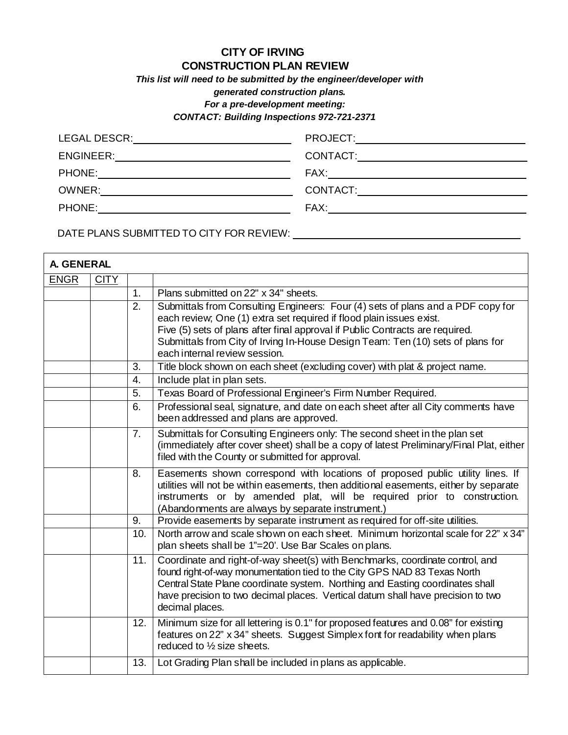## **CITY OF IRVING CONSTRUCTION PLAN REVIEW**

*This list will need to be submitted by the engineer/developer with* 

*generated construction plans.* 

*For a pre-development meeting:* 

*CONTACT: Building Inspections 972-721-2371*

| LEGAL DESCR: _________________________________         |                                            |
|--------------------------------------------------------|--------------------------------------------|
| ENGINEER:                                              | CONTACT:__________________________________ |
| PHONE:<br><u> 1980 - Jan Samuel Barbara, martin di</u> |                                            |
| OWNER:                                                 | CONTACT: <u>_________________</u>          |
|                                                        |                                            |
|                                                        |                                            |

DATE PLANS SUBMITTED TO CITY FOR REVIEW: \\conduction\_\_\_\_\_\_\_\_\_\_\_\_\_\_\_\_\_\_\_\_\_\_\_\_\_\_\_

|             | <b>A. GENERAL</b> |                |                                                                                                                                                                                                                                                                                                                                                              |  |  |
|-------------|-------------------|----------------|--------------------------------------------------------------------------------------------------------------------------------------------------------------------------------------------------------------------------------------------------------------------------------------------------------------------------------------------------------------|--|--|
| <b>ENGR</b> | <b>CITY</b>       |                |                                                                                                                                                                                                                                                                                                                                                              |  |  |
|             |                   | 1.             | Plans submitted on 22" x 34" sheets.                                                                                                                                                                                                                                                                                                                         |  |  |
|             |                   | 2.             | Submittals from Consulting Engineers: Four (4) sets of plans and a PDF copy for<br>each review; One (1) extra set required if flood plain issues exist.<br>Five (5) sets of plans after final approval if Public Contracts are required.<br>Submittals from City of Irving In-House Design Team: Ten (10) sets of plans for<br>each internal review session. |  |  |
|             |                   | 3.             | Title block shown on each sheet (excluding cover) with plat & project name.                                                                                                                                                                                                                                                                                  |  |  |
|             |                   | 4.             | Include plat in plan sets.                                                                                                                                                                                                                                                                                                                                   |  |  |
|             |                   | 5.             | Texas Board of Professional Engineer's Firm Number Required.                                                                                                                                                                                                                                                                                                 |  |  |
|             |                   | 6.             | Professional seal, signature, and date on each sheet after all City comments have<br>been addressed and plans are approved.                                                                                                                                                                                                                                  |  |  |
|             |                   | 7 <sub>1</sub> | Submittals for Consulting Engineers only: The second sheet in the plan set<br>(immediately after cover sheet) shall be a copy of latest Preliminary/Final Plat, either<br>filed with the County or submitted for approval.                                                                                                                                   |  |  |
|             |                   | 8.             | Easements shown correspond with locations of proposed public utility lines. If<br>utilities will not be within easements, then additional easements, either by separate<br>instruments or by amended plat, will be required prior to construction.<br>(Abandonments are always by separate instrument.)                                                      |  |  |
|             |                   | 9.             | Provide easements by separate instrument as required for off-site utilities.                                                                                                                                                                                                                                                                                 |  |  |
|             |                   | 10.            | North arrow and scale shown on each sheet. Minimum horizontal scale for 22" x 34"<br>plan sheets shall be 1"=20'. Use Bar Scales on plans.                                                                                                                                                                                                                   |  |  |
|             |                   | 11.            | Coordinate and right-of-way sheet(s) with Benchmarks, coordinate control, and<br>found right-of-way monumentation tied to the City GPS NAD 83 Texas North<br>Central State Plane coordinate system. Northing and Easting coordinates shall<br>have precision to two decimal places. Vertical datum shall have precision to two<br>decimal places.            |  |  |
|             |                   | 12.            | Minimum size for all lettering is 0.1" for proposed features and 0.08" for existing<br>features on 22" x 34" sheets. Suggest Simplex font for readability when plans<br>reduced to 1/2 size sheets.                                                                                                                                                          |  |  |
|             |                   | 13.            | Lot Grading Plan shall be included in plans as applicable.                                                                                                                                                                                                                                                                                                   |  |  |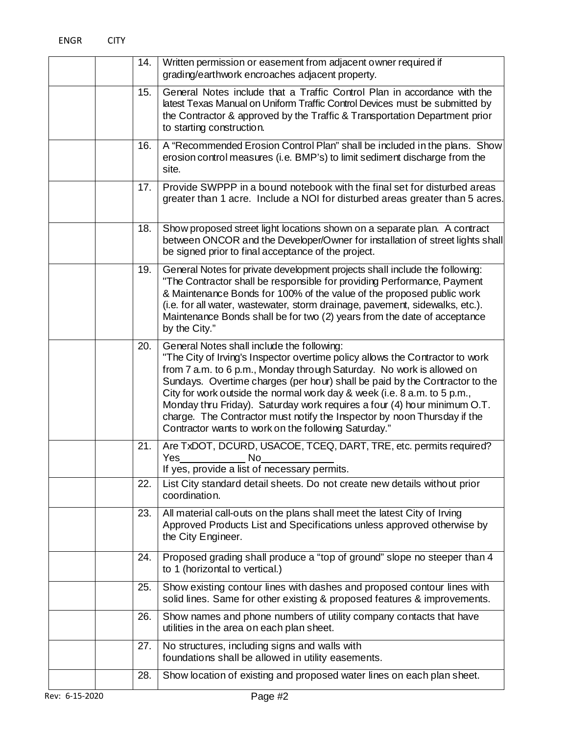|  | 14. | Written permission or easement from adjacent owner required if<br>grading/earthwork encroaches adjacent property.                                                                                                                                                                                                                                                                                                                                                                                                                                                               |
|--|-----|---------------------------------------------------------------------------------------------------------------------------------------------------------------------------------------------------------------------------------------------------------------------------------------------------------------------------------------------------------------------------------------------------------------------------------------------------------------------------------------------------------------------------------------------------------------------------------|
|  | 15. | General Notes include that a Traffic Control Plan in accordance with the<br>latest Texas Manual on Uniform Traffic Control Devices must be submitted by<br>the Contractor & approved by the Traffic & Transportation Department prior<br>to starting construction.                                                                                                                                                                                                                                                                                                              |
|  | 16. | A "Recommended Erosion Control Plan" shall be included in the plans. Show<br>erosion control measures (i.e. BMP's) to limit sediment discharge from the<br>site.                                                                                                                                                                                                                                                                                                                                                                                                                |
|  | 17. | Provide SWPPP in a bound notebook with the final set for disturbed areas<br>greater than 1 acre. Include a NOI for disturbed areas greater than 5 acres.                                                                                                                                                                                                                                                                                                                                                                                                                        |
|  | 18. | Show proposed street light locations shown on a separate plan. A contract<br>between ONCOR and the Developer/Owner for installation of street lights shall<br>be signed prior to final acceptance of the project.                                                                                                                                                                                                                                                                                                                                                               |
|  | 19. | General Notes for private development projects shall include the following:<br>"The Contractor shall be responsible for providing Performance, Payment<br>& Maintenance Bonds for 100% of the value of the proposed public work<br>(i.e. for all water, wastewater, storm drainage, pavement, sidewalks, etc.).<br>Maintenance Bonds shall be for two (2) years from the date of acceptance<br>by the City."                                                                                                                                                                    |
|  | 20. | General Notes shall include the following:<br>"The City of Irving's Inspector overtime policy allows the Contractor to work<br>from 7 a.m. to 6 p.m., Monday through Saturday. No work is allowed on<br>Sundays. Overtime charges (per hour) shall be paid by the Contractor to the<br>City for work outside the normal work day & week (i.e. 8 a.m. to 5 p.m.,<br>Monday thru Friday). Saturday work requires a four (4) hour minimum O.T.<br>charge. The Contractor must notify the Inspector by noon Thursday if the<br>Contractor wants to work on the following Saturday." |
|  | 21. | Are TxDOT, DCURD, USACOE, TCEQ, DART, TRE, etc. permits required?<br>No<br>Yes<br>If yes, provide a list of necessary permits                                                                                                                                                                                                                                                                                                                                                                                                                                                   |
|  | 22. | List City standard detail sheets. Do not create new details without prior<br>coordination.                                                                                                                                                                                                                                                                                                                                                                                                                                                                                      |
|  | 23. | All material call-outs on the plans shall meet the latest City of Irving<br>Approved Products List and Specifications unless approved otherwise by<br>the City Engineer.                                                                                                                                                                                                                                                                                                                                                                                                        |
|  | 24. | Proposed grading shall produce a "top of ground" slope no steeper than 4<br>to 1 (horizontal to vertical.)                                                                                                                                                                                                                                                                                                                                                                                                                                                                      |
|  | 25. | Show existing contour lines with dashes and proposed contour lines with<br>solid lines. Same for other existing & proposed features & improvements.                                                                                                                                                                                                                                                                                                                                                                                                                             |
|  | 26. | Show names and phone numbers of utility company contacts that have<br>utilities in the area on each plan sheet.                                                                                                                                                                                                                                                                                                                                                                                                                                                                 |
|  | 27. | No structures, including signs and walls with<br>foundations shall be allowed in utility easements.                                                                                                                                                                                                                                                                                                                                                                                                                                                                             |
|  | 28. | Show location of existing and proposed water lines on each plan sheet.                                                                                                                                                                                                                                                                                                                                                                                                                                                                                                          |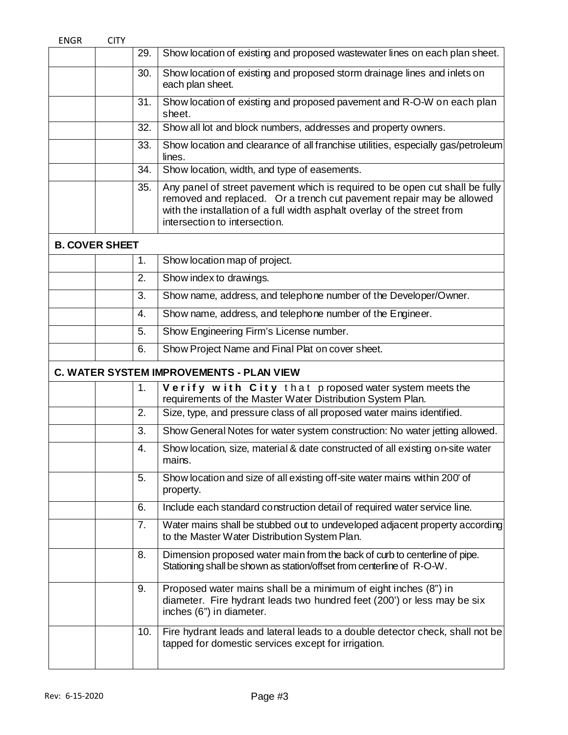| 29.         | Show location of existing and proposed wastewater lines on each plan sheet.                                                                                                                                                                                       |
|-------------|-------------------------------------------------------------------------------------------------------------------------------------------------------------------------------------------------------------------------------------------------------------------|
| 30.         | Show location of existing and proposed storm drainage lines and inlets on<br>each plan sheet.                                                                                                                                                                     |
| 31.         | Show location of existing and proposed pavement and R-O-W on each plan<br>sheet.                                                                                                                                                                                  |
| 32.         | Show all lot and block numbers, addresses and property owners.                                                                                                                                                                                                    |
| 33.         | Show location and clearance of all franchise utilities, especially gas/petroleum<br>lines.                                                                                                                                                                        |
| 34.         | Show location, width, and type of easements.                                                                                                                                                                                                                      |
| 35.         | Any panel of street pavement which is required to be open cut shall be fully<br>removed and replaced. Or a trench cut pavement repair may be allowed<br>with the installation of a full width asphalt overlay of the street from<br>intersection to intersection. |
|             |                                                                                                                                                                                                                                                                   |
| 1.          | Show location map of project.                                                                                                                                                                                                                                     |
| 2.          | Show index to drawings.                                                                                                                                                                                                                                           |
| 3.          | Show name, address, and telephone number of the Developer/Owner.                                                                                                                                                                                                  |
| 4.          | Show name, address, and telephone number of the Engineer.                                                                                                                                                                                                         |
| 5.          | Show Engineering Firm's License number.                                                                                                                                                                                                                           |
| 6.          | Show Project Name and Final Plat on cover sheet.                                                                                                                                                                                                                  |
|             | C. WATER SYSTEM IMPROVEMENTS - PLAN VIEW                                                                                                                                                                                                                          |
| 1.          | Verify with City that proposed water system meets the<br>requirements of the Master Water Distribution System Plan.                                                                                                                                               |
| 2.          | Size, type, and pressure class of all proposed water mains identified.                                                                                                                                                                                            |
| 3.          | Show General Notes for water system construction: No water jetting allowed.                                                                                                                                                                                       |
| 4.          | Show location, size, material & date constructed of all existing on-site water<br>mains.                                                                                                                                                                          |
| 5.          | Show location and size of all existing off-site water mains within 200' of<br>property.                                                                                                                                                                           |
| 6.          | Include each standard construction detail of required water service line.                                                                                                                                                                                         |
| 7.          | Water mains shall be stubbed out to undeveloped adjacent property according<br>to the Master Water Distribution System Plan.                                                                                                                                      |
| 8.          | Dimension proposed water main from the back of curb to centerline of pipe.<br>Stationing shall be shown as station/offset from centerline of R-O-W.                                                                                                               |
| 9.          | Proposed water mains shall be a minimum of eight inches (8") in<br>diameter. Fire hydrant leads two hundred feet (200') or less may be six<br>inches (6") in diameter.                                                                                            |
| 10.         | Fire hydrant leads and lateral leads to a double detector check, shall not be                                                                                                                                                                                     |
| <b>CITY</b> | <b>B. COVER SHEET</b>                                                                                                                                                                                                                                             |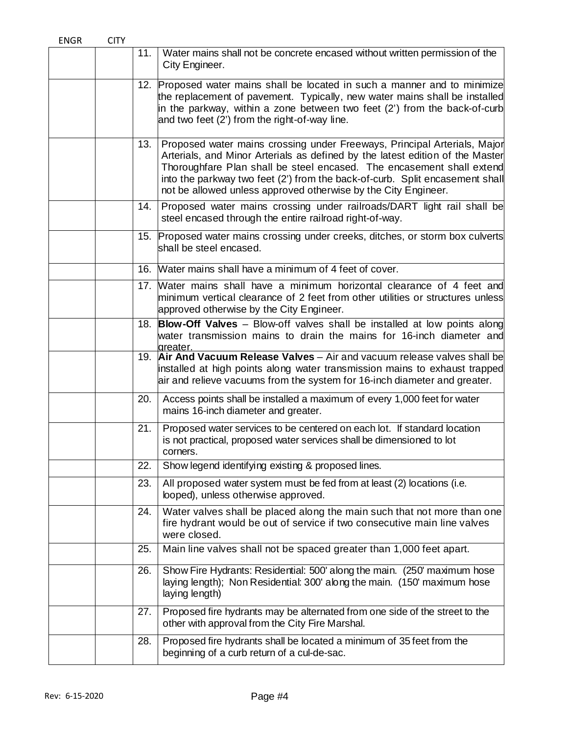| <b>ENGR</b> | <b>CITY</b> |     |                                                                                                                                                                                                                                                                                                                                                                                      |
|-------------|-------------|-----|--------------------------------------------------------------------------------------------------------------------------------------------------------------------------------------------------------------------------------------------------------------------------------------------------------------------------------------------------------------------------------------|
|             |             | 11. | Water mains shall not be concrete encased without written permission of the<br>City Engineer.                                                                                                                                                                                                                                                                                        |
|             |             |     | 12. Proposed water mains shall be located in such a manner and to minimize<br>the replacement of pavement. Typically, new water mains shall be installed<br>in the parkway, within a zone between two feet (2') from the back-of-curb<br>and two feet (2') from the right-of-way line.                                                                                               |
|             |             | 13. | Proposed water mains crossing under Freeways, Principal Arterials, Major<br>Arterials, and Minor Arterials as defined by the latest edition of the Master<br>Thoroughfare Plan shall be steel encased. The encasement shall extend<br>into the parkway two feet (2') from the back-of-curb. Split encasement shall<br>not be allowed unless approved otherwise by the City Engineer. |
|             |             | 14. | Proposed water mains crossing under railroads/DART light rail shall be<br>steel encased through the entire railroad right-of-way.                                                                                                                                                                                                                                                    |
|             |             |     | 15. Proposed water mains crossing under creeks, ditches, or storm box culverts<br>shall be steel encased.                                                                                                                                                                                                                                                                            |
|             |             |     | 16. Water mains shall have a minimum of 4 feet of cover.                                                                                                                                                                                                                                                                                                                             |
|             |             |     | 17. Water mains shall have a minimum horizontal clearance of 4 feet and<br>minimum vertical clearance of 2 feet from other utilities or structures unless<br>approved otherwise by the City Engineer.                                                                                                                                                                                |
|             |             |     | 18. Blow-Off Valves - Blow-off valves shall be installed at low points along<br>water transmission mains to drain the mains for 16-inch diameter and<br>areater.                                                                                                                                                                                                                     |
|             |             |     | 19. Air And Vacuum Release Valves - Air and vacuum release valves shall be<br>installed at high points along water transmission mains to exhaust trapped<br>air and relieve vacuums from the system for 16-inch diameter and greater.                                                                                                                                                |
|             |             | 20. | Access points shall be installed a maximum of every 1,000 feet for water<br>mains 16-inch diameter and greater.                                                                                                                                                                                                                                                                      |
|             |             | 21. | Proposed water services to be centered on each lot. If standard location<br>is not practical, proposed water services shall be dimensioned to lot<br>corners.                                                                                                                                                                                                                        |
|             |             | 22. | Show legend identifying existing & proposed lines.                                                                                                                                                                                                                                                                                                                                   |
|             |             | 23. | All proposed water system must be fed from at least (2) locations (i.e.<br>looped), unless otherwise approved.                                                                                                                                                                                                                                                                       |
|             |             | 24. | Water valves shall be placed along the main such that not more than one<br>fire hydrant would be out of service if two consecutive main line valves<br>were closed.                                                                                                                                                                                                                  |
|             |             | 25. | Main line valves shall not be spaced greater than 1,000 feet apart.                                                                                                                                                                                                                                                                                                                  |
|             |             | 26. | Show Fire Hydrants: Residential: 500' along the main. (250' maximum hose<br>laying length); Non Residential: 300' along the main. (150' maximum hose<br>laying length)                                                                                                                                                                                                               |
|             |             | 27. | Proposed fire hydrants may be alternated from one side of the street to the<br>other with approval from the City Fire Marshal.                                                                                                                                                                                                                                                       |
|             |             | 28. | Proposed fire hydrants shall be located a minimum of 35 feet from the<br>beginning of a curb return of a cul-de-sac.                                                                                                                                                                                                                                                                 |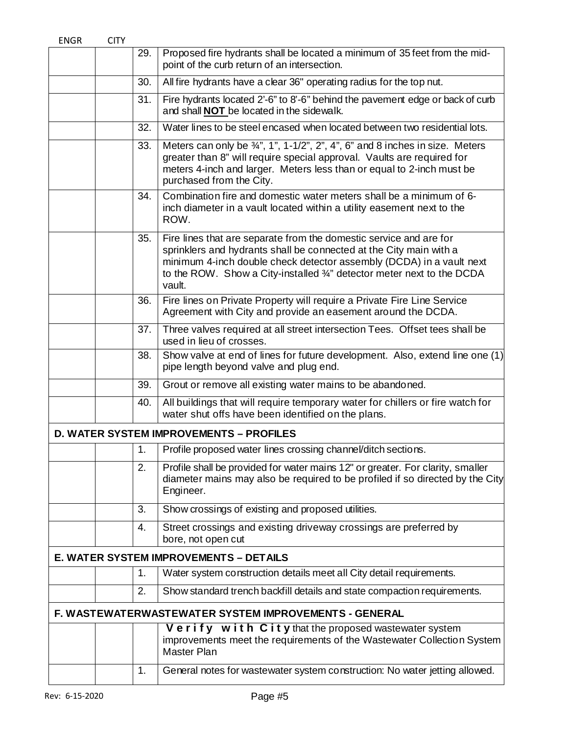| <b>ENGR</b> | <b>CITY</b> |               |                                                                                                                                                                                                                                                                                                      |
|-------------|-------------|---------------|------------------------------------------------------------------------------------------------------------------------------------------------------------------------------------------------------------------------------------------------------------------------------------------------------|
|             |             | 29.           | Proposed fire hydrants shall be located a minimum of 35 feet from the mid-<br>point of the curb return of an intersection.                                                                                                                                                                           |
|             |             | 30.           | All fire hydrants have a clear 36" operating radius for the top nut.                                                                                                                                                                                                                                 |
|             |             | 31.           | Fire hydrants located 2'-6" to 8'-6" behind the pavement edge or back of curb<br>and shall NOT be located in the sidewalk.                                                                                                                                                                           |
|             |             | 32.           | Water lines to be steel encased when located between two residential lots.                                                                                                                                                                                                                           |
|             |             | 33.           | Meters can only be $\frac{3}{4}$ ", 1", 1-1/2", 2", 4", 6" and 8 inches in size. Meters<br>greater than 8" will require special approval. Vaults are required for<br>meters 4-inch and larger. Meters less than or equal to 2-inch must be<br>purchased from the City.                               |
|             |             | 34.           | Combination fire and domestic water meters shall be a minimum of 6-<br>inch diameter in a vault located within a utility easement next to the<br>ROW.                                                                                                                                                |
|             |             | 35.           | Fire lines that are separate from the domestic service and are for<br>sprinklers and hydrants shall be connected at the City main with a<br>minimum 4-inch double check detector assembly (DCDA) in a vault next<br>to the ROW. Show a City-installed 3/4" detector meter next to the DCDA<br>vault. |
|             |             | 36.           | Fire lines on Private Property will require a Private Fire Line Service<br>Agreement with City and provide an easement around the DCDA.                                                                                                                                                              |
|             |             | 37.           | Three valves required at all street intersection Tees. Offset tees shall be<br>used in lieu of crosses.                                                                                                                                                                                              |
|             |             | 38.           | Show valve at end of lines for future development. Also, extend line one (1)<br>pipe length beyond valve and plug end.                                                                                                                                                                               |
|             |             | 39.           | Grout or remove all existing water mains to be abandoned.                                                                                                                                                                                                                                            |
|             |             | 40.           | All buildings that will require temporary water for chillers or fire watch for<br>water shut offs have been identified on the plans.                                                                                                                                                                 |
|             |             |               | <b>D. WATER SYSTEM IMPROVEMENTS - PROFILES</b>                                                                                                                                                                                                                                                       |
|             |             | $\mathbf 1$ . | Profile proposed water lines crossing channel/ditch sections.                                                                                                                                                                                                                                        |
|             |             | 2.            | Profile shall be provided for water mains 12" or greater. For clarity, smaller<br>diameter mains may also be required to be profiled if so directed by the City<br>Engineer.                                                                                                                         |
|             |             | 3.            | Show crossings of existing and proposed utilities.                                                                                                                                                                                                                                                   |
|             |             | 4.            | Street crossings and existing driveway crossings are preferred by<br>bore, not open cut                                                                                                                                                                                                              |
|             |             |               | E. WATER SYSTEM IMPROVEMENTS - DETAILS                                                                                                                                                                                                                                                               |
|             |             | 1.            | Water system construction details meet all City detail requirements.                                                                                                                                                                                                                                 |
|             |             | 2.            | Show standard trench backfill details and state compaction requirements.                                                                                                                                                                                                                             |
|             |             |               | F. WASTEWATERWASTEWATER SYSTEM IMPROVEMENTS - GENERAL                                                                                                                                                                                                                                                |
|             |             |               | $V$ e rify $W$ ith $C$ it $y$ that the proposed wastewater system<br>improvements meet the requirements of the Wastewater Collection System<br>Master Plan                                                                                                                                           |
|             |             | 1.            | General notes for wastewater system construction: No water jetting allowed.                                                                                                                                                                                                                          |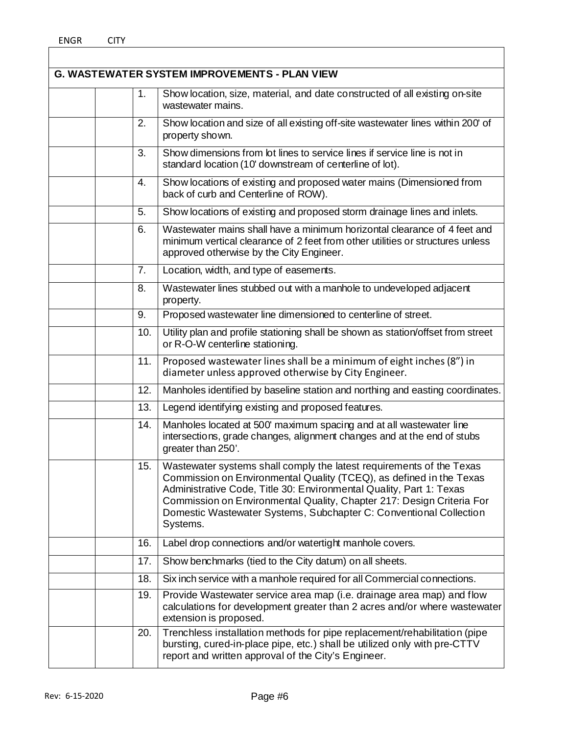$\overline{\phantom{a}}$ 

|  |     | <b>G. WASTEWATER SYSTEM IMPROVEMENTS - PLAN VIEW</b>                                                                                                                                                                                                                                                                                                                          |
|--|-----|-------------------------------------------------------------------------------------------------------------------------------------------------------------------------------------------------------------------------------------------------------------------------------------------------------------------------------------------------------------------------------|
|  | 1.  | Show location, size, material, and date constructed of all existing on-site<br>wastewater mains.                                                                                                                                                                                                                                                                              |
|  | 2.  | Show location and size of all existing off-site wastewater lines within 200' of<br>property shown.                                                                                                                                                                                                                                                                            |
|  | 3.  | Show dimensions from lot lines to service lines if service line is not in<br>standard location (10' downstream of centerline of lot).                                                                                                                                                                                                                                         |
|  | 4.  | Show locations of existing and proposed water mains (Dimensioned from<br>back of curb and Centerline of ROW).                                                                                                                                                                                                                                                                 |
|  | 5.  | Show locations of existing and proposed storm drainage lines and inlets.                                                                                                                                                                                                                                                                                                      |
|  | 6.  | Wastewater mains shall have a minimum horizontal clearance of 4 feet and<br>minimum vertical clearance of 2 feet from other utilities or structures unless<br>approved otherwise by the City Engineer.                                                                                                                                                                        |
|  | 7.  | Location, width, and type of easements.                                                                                                                                                                                                                                                                                                                                       |
|  | 8.  | Wastewater lines stubbed out with a manhole to undeveloped adjacent<br>property.                                                                                                                                                                                                                                                                                              |
|  | 9.  | Proposed wastewater line dimensioned to centerline of street.                                                                                                                                                                                                                                                                                                                 |
|  | 10. | Utility plan and profile stationing shall be shown as station/offset from street<br>or R-O-W centerline stationing.                                                                                                                                                                                                                                                           |
|  | 11. | Proposed wastewater lines shall be a minimum of eight inches (8") in<br>diameter unless approved otherwise by City Engineer.                                                                                                                                                                                                                                                  |
|  | 12. | Manholes identified by baseline station and northing and easting coordinates.                                                                                                                                                                                                                                                                                                 |
|  | 13. | Legend identifying existing and proposed features.                                                                                                                                                                                                                                                                                                                            |
|  | 14. | Manholes located at 500' maximum spacing and at all wastewater line<br>intersections, grade changes, alignment changes and at the end of stubs<br>greater than 250'.                                                                                                                                                                                                          |
|  | 15. | Wastewater systems shall comply the latest requirements of the Texas<br>Commission on Environmental Quality (TCEQ), as defined in the Texas<br>Administrative Code, Title 30: Environmental Quality, Part 1: Texas<br>Commission on Environmental Quality, Chapter 217: Design Criteria For<br>Domestic Wastewater Systems, Subchapter C: Conventional Collection<br>Systems. |
|  | 16. | Label drop connections and/or watertight manhole covers.                                                                                                                                                                                                                                                                                                                      |
|  | 17. | Show benchmarks (tied to the City datum) on all sheets.                                                                                                                                                                                                                                                                                                                       |
|  | 18. | Six inch service with a manhole required for all Commercial connections.                                                                                                                                                                                                                                                                                                      |
|  | 19. | Provide Wastewater service area map (i.e. drainage area map) and flow<br>calculations for development greater than 2 acres and/or where wastewater<br>extension is proposed.                                                                                                                                                                                                  |
|  | 20. | Trenchless installation methods for pipe replacement/rehabilitation (pipe<br>bursting, cured-in-place pipe, etc.) shall be utilized only with pre-CTTV<br>report and written approval of the City's Engineer.                                                                                                                                                                 |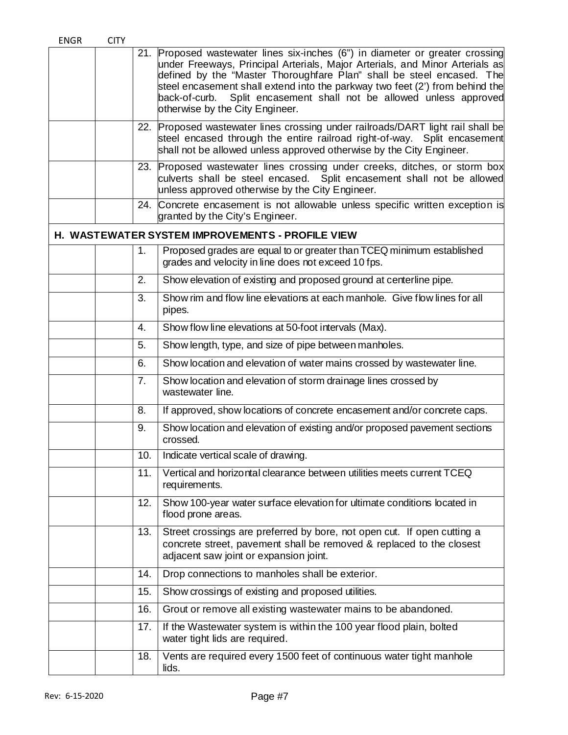| <b>ENGR</b> | <b>CITY</b> |     |                                                                                                                                                                                                                                                                                                                                                                                                                              |
|-------------|-------------|-----|------------------------------------------------------------------------------------------------------------------------------------------------------------------------------------------------------------------------------------------------------------------------------------------------------------------------------------------------------------------------------------------------------------------------------|
|             |             | 21. | Proposed wastewater lines six-inches (6") in diameter or greater crossing<br>under Freeways, Principal Arterials, Major Arterials, and Minor Arterials as<br>defined by the "Master Thoroughfare Plan" shall be steel encased. The<br>steel encasement shall extend into the parkway two feet (2') from behind the<br>back-of-curb. Split encasement shall not be allowed unless approved<br>otherwise by the City Engineer. |
|             |             |     | 22. Proposed wastewater lines crossing under railroads/DART light rail shall be<br>steel encased through the entire railroad right-of-way. Split encasement<br>shall not be allowed unless approved otherwise by the City Engineer.                                                                                                                                                                                          |
|             |             |     | 23. Proposed wastewater lines crossing under creeks, ditches, or storm box<br>culverts shall be steel encased. Split encasement shall not be allowed<br>unless approved otherwise by the City Engineer.                                                                                                                                                                                                                      |
|             |             | 24. | Concrete encasement is not allowable unless specific written exception is<br>granted by the City's Engineer.                                                                                                                                                                                                                                                                                                                 |
|             |             |     | <b>H. WASTEWATER SYSTEM IMPROVEMENTS - PROFILE VIEW</b>                                                                                                                                                                                                                                                                                                                                                                      |
|             |             | 1.  | Proposed grades are equal to or greater than TCEQ minimum established<br>grades and velocity in line does not exceed 10 fps.                                                                                                                                                                                                                                                                                                 |
|             |             | 2.  | Show elevation of existing and proposed ground at centerline pipe.                                                                                                                                                                                                                                                                                                                                                           |
|             |             | 3.  | Show rim and flow line elevations at each manhole. Give flow lines for all<br>pipes.                                                                                                                                                                                                                                                                                                                                         |
|             |             | 4.  | Show flow line elevations at 50-foot intervals (Max).                                                                                                                                                                                                                                                                                                                                                                        |
|             |             | 5.  | Show length, type, and size of pipe between manholes.                                                                                                                                                                                                                                                                                                                                                                        |
|             |             | 6.  | Show location and elevation of water mains crossed by wastewater line.                                                                                                                                                                                                                                                                                                                                                       |
|             |             | 7.  | Show location and elevation of storm drainage lines crossed by<br>wastewater line.                                                                                                                                                                                                                                                                                                                                           |
|             |             | 8.  | If approved, show locations of concrete encasement and/or concrete caps.                                                                                                                                                                                                                                                                                                                                                     |
|             |             | 9.  | Show location and elevation of existing and/or proposed pavement sections<br>crossed.                                                                                                                                                                                                                                                                                                                                        |
|             |             | 10. | Indicate vertical scale of drawing.                                                                                                                                                                                                                                                                                                                                                                                          |
|             |             | 11. | Vertical and horizontal clearance between utilities meets current TCEQ<br>requirements.                                                                                                                                                                                                                                                                                                                                      |
|             |             | 12. | Show 100-year water surface elevation for ultimate conditions located in<br>flood prone areas.                                                                                                                                                                                                                                                                                                                               |
|             |             | 13. | Street crossings are preferred by bore, not open cut. If open cutting a<br>concrete street, pavement shall be removed & replaced to the closest<br>adjacent saw joint or expansion joint.                                                                                                                                                                                                                                    |
|             |             | 14. | Drop connections to manholes shall be exterior.                                                                                                                                                                                                                                                                                                                                                                              |
|             |             | 15. | Show crossings of existing and proposed utilities.                                                                                                                                                                                                                                                                                                                                                                           |
|             |             | 16. | Grout or remove all existing wastewater mains to be abandoned.                                                                                                                                                                                                                                                                                                                                                               |
|             |             | 17. | If the Wastewater system is within the 100 year flood plain, bolted<br>water tight lids are required.                                                                                                                                                                                                                                                                                                                        |
|             |             | 18. | Vents are required every 1500 feet of continuous water tight manhole<br>lids.                                                                                                                                                                                                                                                                                                                                                |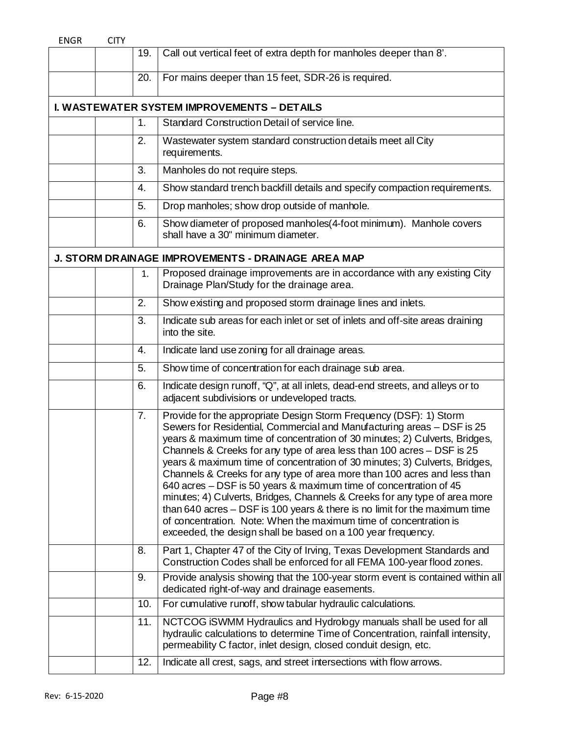| Call out vertical feet of extra depth for manholes deeper than 8'.<br>19.<br>For mains deeper than 15 feet, SDR-26 is required.<br>20.<br><b>I. WASTEWATER SYSTEM IMPROVEMENTS - DETAILS</b><br>Standard Construction Detail of service line.<br>1.<br>Wastewater system standard construction details meet all City<br>2.<br>requirements.<br>Manholes do not require steps.<br>3.<br>4.<br>5.<br>Drop manholes; show drop outside of manhole.<br>6.<br>shall have a 30" minimum diameter.<br>J. STORM DRAINAGE IMPROVEMENTS - DRAINAGE AREA MAP<br>1.<br>Drainage Plan/Study for the drainage area.<br>Show existing and proposed storm drainage lines and inlets.<br>2.<br>3.<br>into the site.<br>Indicate land use zoning for all drainage areas.<br>4.<br>Show time of concentration for each drainage sub area.<br>5.<br>6.<br>adjacent subdivisions or undeveloped tracts.<br>Provide for the appropriate Design Storm Frequency (DSF): 1) Storm<br>7.<br>Channels & Creeks for any type of area less than 100 acres - DSF is 25<br>640 acres – DSF is 50 years & maximum time of concentration of 45<br>of concentration. Note: When the maximum time of concentration is<br>exceeded, the design shall be based on a 100 year frequency.<br>8.<br>9.<br>dedicated right-of-way and drainage easements.<br>For cumulative runoff, show tabular hydraulic calculations.<br>10.<br>11.<br>permeability C factor, inlet design, closed conduit design, etc. | <b>ENGR</b> | <b>CITY</b> |     |                                                                                                                                                                                                                                                                                                                                                                                                                                                                              |
|-------------------------------------------------------------------------------------------------------------------------------------------------------------------------------------------------------------------------------------------------------------------------------------------------------------------------------------------------------------------------------------------------------------------------------------------------------------------------------------------------------------------------------------------------------------------------------------------------------------------------------------------------------------------------------------------------------------------------------------------------------------------------------------------------------------------------------------------------------------------------------------------------------------------------------------------------------------------------------------------------------------------------------------------------------------------------------------------------------------------------------------------------------------------------------------------------------------------------------------------------------------------------------------------------------------------------------------------------------------------------------------------------------------------------------------------------------------------|-------------|-------------|-----|------------------------------------------------------------------------------------------------------------------------------------------------------------------------------------------------------------------------------------------------------------------------------------------------------------------------------------------------------------------------------------------------------------------------------------------------------------------------------|
|                                                                                                                                                                                                                                                                                                                                                                                                                                                                                                                                                                                                                                                                                                                                                                                                                                                                                                                                                                                                                                                                                                                                                                                                                                                                                                                                                                                                                                                                   |             |             |     |                                                                                                                                                                                                                                                                                                                                                                                                                                                                              |
|                                                                                                                                                                                                                                                                                                                                                                                                                                                                                                                                                                                                                                                                                                                                                                                                                                                                                                                                                                                                                                                                                                                                                                                                                                                                                                                                                                                                                                                                   |             |             |     |                                                                                                                                                                                                                                                                                                                                                                                                                                                                              |
|                                                                                                                                                                                                                                                                                                                                                                                                                                                                                                                                                                                                                                                                                                                                                                                                                                                                                                                                                                                                                                                                                                                                                                                                                                                                                                                                                                                                                                                                   |             |             |     |                                                                                                                                                                                                                                                                                                                                                                                                                                                                              |
|                                                                                                                                                                                                                                                                                                                                                                                                                                                                                                                                                                                                                                                                                                                                                                                                                                                                                                                                                                                                                                                                                                                                                                                                                                                                                                                                                                                                                                                                   |             |             |     |                                                                                                                                                                                                                                                                                                                                                                                                                                                                              |
|                                                                                                                                                                                                                                                                                                                                                                                                                                                                                                                                                                                                                                                                                                                                                                                                                                                                                                                                                                                                                                                                                                                                                                                                                                                                                                                                                                                                                                                                   |             |             |     |                                                                                                                                                                                                                                                                                                                                                                                                                                                                              |
|                                                                                                                                                                                                                                                                                                                                                                                                                                                                                                                                                                                                                                                                                                                                                                                                                                                                                                                                                                                                                                                                                                                                                                                                                                                                                                                                                                                                                                                                   |             |             |     |                                                                                                                                                                                                                                                                                                                                                                                                                                                                              |
|                                                                                                                                                                                                                                                                                                                                                                                                                                                                                                                                                                                                                                                                                                                                                                                                                                                                                                                                                                                                                                                                                                                                                                                                                                                                                                                                                                                                                                                                   |             |             |     | Show standard trench backfill details and specify compaction requirements.                                                                                                                                                                                                                                                                                                                                                                                                   |
|                                                                                                                                                                                                                                                                                                                                                                                                                                                                                                                                                                                                                                                                                                                                                                                                                                                                                                                                                                                                                                                                                                                                                                                                                                                                                                                                                                                                                                                                   |             |             |     |                                                                                                                                                                                                                                                                                                                                                                                                                                                                              |
|                                                                                                                                                                                                                                                                                                                                                                                                                                                                                                                                                                                                                                                                                                                                                                                                                                                                                                                                                                                                                                                                                                                                                                                                                                                                                                                                                                                                                                                                   |             |             |     | Show diameter of proposed manholes(4-foot minimum). Manhole covers                                                                                                                                                                                                                                                                                                                                                                                                           |
|                                                                                                                                                                                                                                                                                                                                                                                                                                                                                                                                                                                                                                                                                                                                                                                                                                                                                                                                                                                                                                                                                                                                                                                                                                                                                                                                                                                                                                                                   |             |             |     |                                                                                                                                                                                                                                                                                                                                                                                                                                                                              |
|                                                                                                                                                                                                                                                                                                                                                                                                                                                                                                                                                                                                                                                                                                                                                                                                                                                                                                                                                                                                                                                                                                                                                                                                                                                                                                                                                                                                                                                                   |             |             |     | Proposed drainage improvements are in accordance with any existing City                                                                                                                                                                                                                                                                                                                                                                                                      |
|                                                                                                                                                                                                                                                                                                                                                                                                                                                                                                                                                                                                                                                                                                                                                                                                                                                                                                                                                                                                                                                                                                                                                                                                                                                                                                                                                                                                                                                                   |             |             |     |                                                                                                                                                                                                                                                                                                                                                                                                                                                                              |
|                                                                                                                                                                                                                                                                                                                                                                                                                                                                                                                                                                                                                                                                                                                                                                                                                                                                                                                                                                                                                                                                                                                                                                                                                                                                                                                                                                                                                                                                   |             |             |     | Indicate sub areas for each inlet or set of inlets and off-site areas draining                                                                                                                                                                                                                                                                                                                                                                                               |
|                                                                                                                                                                                                                                                                                                                                                                                                                                                                                                                                                                                                                                                                                                                                                                                                                                                                                                                                                                                                                                                                                                                                                                                                                                                                                                                                                                                                                                                                   |             |             |     |                                                                                                                                                                                                                                                                                                                                                                                                                                                                              |
|                                                                                                                                                                                                                                                                                                                                                                                                                                                                                                                                                                                                                                                                                                                                                                                                                                                                                                                                                                                                                                                                                                                                                                                                                                                                                                                                                                                                                                                                   |             |             |     |                                                                                                                                                                                                                                                                                                                                                                                                                                                                              |
|                                                                                                                                                                                                                                                                                                                                                                                                                                                                                                                                                                                                                                                                                                                                                                                                                                                                                                                                                                                                                                                                                                                                                                                                                                                                                                                                                                                                                                                                   |             |             |     | Indicate design runoff, "Q", at all inlets, dead-end streets, and alleys or to                                                                                                                                                                                                                                                                                                                                                                                               |
|                                                                                                                                                                                                                                                                                                                                                                                                                                                                                                                                                                                                                                                                                                                                                                                                                                                                                                                                                                                                                                                                                                                                                                                                                                                                                                                                                                                                                                                                   |             |             |     | Sewers for Residential, Commercial and Manufacturing areas - DSF is 25<br>years & maximum time of concentration of 30 minutes; 2) Culverts, Bridges,<br>years & maximum time of concentration of 30 minutes; 3) Culverts, Bridges,<br>Channels & Creeks for any type of area more than 100 acres and less than<br>minutes; 4) Culverts, Bridges, Channels & Creeks for any type of area more<br>than 640 acres $-$ DSF is 100 years & there is no limit for the maximum time |
|                                                                                                                                                                                                                                                                                                                                                                                                                                                                                                                                                                                                                                                                                                                                                                                                                                                                                                                                                                                                                                                                                                                                                                                                                                                                                                                                                                                                                                                                   |             |             |     | Part 1, Chapter 47 of the City of Irving, Texas Development Standards and<br>Construction Codes shall be enforced for all FEMA 100-year flood zones.                                                                                                                                                                                                                                                                                                                         |
|                                                                                                                                                                                                                                                                                                                                                                                                                                                                                                                                                                                                                                                                                                                                                                                                                                                                                                                                                                                                                                                                                                                                                                                                                                                                                                                                                                                                                                                                   |             |             |     | Provide analysis showing that the 100-year storm event is contained within all                                                                                                                                                                                                                                                                                                                                                                                               |
|                                                                                                                                                                                                                                                                                                                                                                                                                                                                                                                                                                                                                                                                                                                                                                                                                                                                                                                                                                                                                                                                                                                                                                                                                                                                                                                                                                                                                                                                   |             |             |     |                                                                                                                                                                                                                                                                                                                                                                                                                                                                              |
|                                                                                                                                                                                                                                                                                                                                                                                                                                                                                                                                                                                                                                                                                                                                                                                                                                                                                                                                                                                                                                                                                                                                                                                                                                                                                                                                                                                                                                                                   |             |             |     | NCTCOG iSWMM Hydraulics and Hydrology manuals shall be used for all<br>hydraulic calculations to determine Time of Concentration, rainfall intensity,                                                                                                                                                                                                                                                                                                                        |
|                                                                                                                                                                                                                                                                                                                                                                                                                                                                                                                                                                                                                                                                                                                                                                                                                                                                                                                                                                                                                                                                                                                                                                                                                                                                                                                                                                                                                                                                   |             |             | 12. | Indicate all crest, sags, and street intersections with flow arrows.                                                                                                                                                                                                                                                                                                                                                                                                         |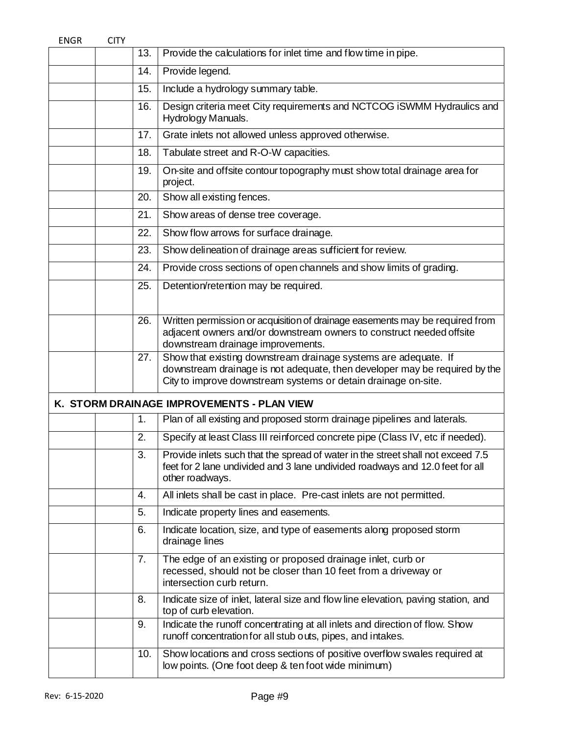| <b>ENGR</b> | <b>CITY</b> |     |                                                                                                                                                                                                                 |
|-------------|-------------|-----|-----------------------------------------------------------------------------------------------------------------------------------------------------------------------------------------------------------------|
|             |             | 13. | Provide the calculations for inlet time and flow time in pipe.                                                                                                                                                  |
|             |             | 14. | Provide legend.                                                                                                                                                                                                 |
|             |             | 15. | Include a hydrology summary table.                                                                                                                                                                              |
|             |             | 16. | Design criteria meet City requirements and NCTCOG iSWMM Hydraulics and<br>Hydrology Manuals.                                                                                                                    |
|             |             | 17. | Grate inlets not allowed unless approved otherwise.                                                                                                                                                             |
|             |             | 18. | Tabulate street and R-O-W capacities.                                                                                                                                                                           |
|             |             | 19. | On-site and offsite contour topography must show total drainage area for<br>project.                                                                                                                            |
|             |             | 20. | Show all existing fences.                                                                                                                                                                                       |
|             |             | 21. | Show areas of dense tree coverage.                                                                                                                                                                              |
|             |             | 22. | Show flow arrows for surface drainage.                                                                                                                                                                          |
|             |             | 23. | Show delineation of drainage areas sufficient for review.                                                                                                                                                       |
|             |             | 24. | Provide cross sections of open channels and show limits of grading.                                                                                                                                             |
|             |             | 25. | Detention/retention may be required.                                                                                                                                                                            |
|             |             | 26. | Written permission or acquisition of drainage easements may be required from<br>adjacent owners and/or downstream owners to construct needed offsite<br>downstream drainage improvements.                       |
|             |             | 27. | Show that existing downstream drainage systems are adequate. If<br>downstream drainage is not adequate, then developer may be required by the<br>City to improve downstream systems or detain drainage on-site. |
|             |             |     | K. STORM DRAINAGE IMPROVEMENTS - PLAN VIEW                                                                                                                                                                      |
|             |             | 1.  | Plan of all existing and proposed storm drainage pipelines and laterals.                                                                                                                                        |
|             |             | 2.  | Specify at least Class III reinforced concrete pipe (Class IV, etc if needed).                                                                                                                                  |
|             |             | 3.  | Provide inlets such that the spread of water in the street shall not exceed 7.5<br>feet for 2 lane undivided and 3 lane undivided roadways and 12.0 feet for all<br>other roadways.                             |
|             |             | 4.  | All inlets shall be cast in place. Pre-cast inlets are not permitted.                                                                                                                                           |
|             |             | 5.  | Indicate property lines and easements.                                                                                                                                                                          |
|             |             | 6.  | Indicate location, size, and type of easements along proposed storm<br>drainage lines                                                                                                                           |
|             |             | 7.  | The edge of an existing or proposed drainage inlet, curb or<br>recessed, should not be closer than 10 feet from a driveway or<br>intersection curb return.                                                      |
|             |             | 8.  | Indicate size of inlet, lateral size and flow line elevation, paving station, and<br>top of curb elevation.                                                                                                     |
|             |             | 9.  | Indicate the runoff concentrating at all inlets and direction of flow. Show<br>runoff concentration for all stub outs, pipes, and intakes.                                                                      |
|             |             | 10. | Show locations and cross sections of positive overflow swales required at<br>low points. (One foot deep & ten foot wide minimum)                                                                                |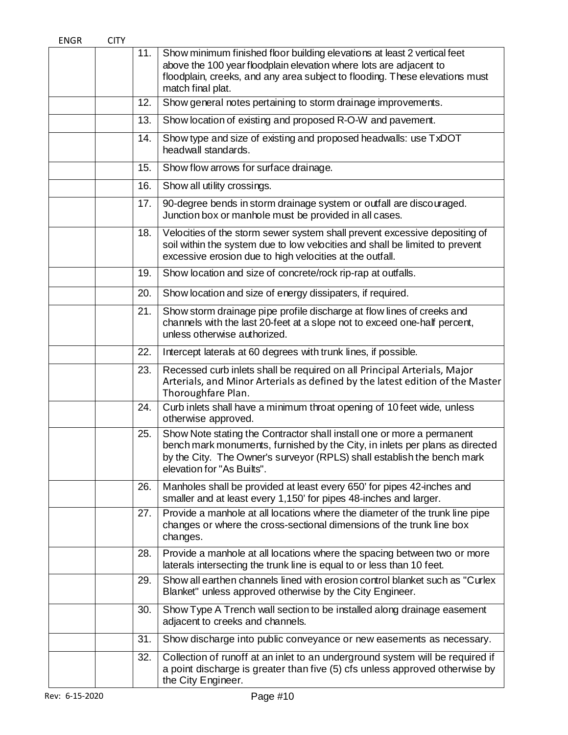| <b>ENGR</b> | <b>CITY</b> |     |                                                                                                                                                                                                                                                                 |
|-------------|-------------|-----|-----------------------------------------------------------------------------------------------------------------------------------------------------------------------------------------------------------------------------------------------------------------|
|             |             | 11. | Show minimum finished floor building elevations at least 2 vertical feet<br>above the 100 year floodplain elevation where lots are adjacent to<br>floodplain, creeks, and any area subject to flooding. These elevations must<br>match final plat.              |
|             |             | 12. | Show general notes pertaining to storm drainage improvements.                                                                                                                                                                                                   |
|             |             | 13. | Show location of existing and proposed R-O-W and pavement.                                                                                                                                                                                                      |
|             |             | 14. | Show type and size of existing and proposed headwalls: use TxDOT<br>headwall standards.                                                                                                                                                                         |
|             |             | 15. | Show flow arrows for surface drainage.                                                                                                                                                                                                                          |
|             |             | 16. | Show all utility crossings.                                                                                                                                                                                                                                     |
|             |             | 17. | 90-degree bends in storm drainage system or outfall are discouraged.<br>Junction box or manhole must be provided in all cases.                                                                                                                                  |
|             |             | 18. | Velocities of the storm sewer system shall prevent excessive depositing of<br>soil within the system due to low velocities and shall be limited to prevent<br>excessive erosion due to high velocities at the outfall.                                          |
|             |             | 19. | Show location and size of concrete/rock rip-rap at outfalls.                                                                                                                                                                                                    |
|             |             | 20. | Show location and size of energy dissipaters, if required.                                                                                                                                                                                                      |
|             |             | 21. | Show storm drainage pipe profile discharge at flow lines of creeks and<br>channels with the last 20-feet at a slope not to exceed one-half percent,<br>unless otherwise authorized.                                                                             |
|             |             | 22. | Intercept laterals at 60 degrees with trunk lines, if possible.                                                                                                                                                                                                 |
|             |             | 23. | Recessed curb inlets shall be required on all Principal Arterials, Major<br>Arterials, and Minor Arterials as defined by the latest edition of the Master<br>Thoroughfare Plan.                                                                                 |
|             |             | 24. | Curb inlets shall have a minimum throat opening of 10 feet wide, unless<br>otherwise approved.                                                                                                                                                                  |
|             |             | 25. | Show Note stating the Contractor shall install one or more a permanent<br>bench mark monuments, furnished by the City, in inlets per plans as directed<br>by the City. The Owner's surveyor (RPLS) shall establish the bench mark<br>elevation for "As Builts". |
|             |             | 26. | Manholes shall be provided at least every 650' for pipes 42-inches and<br>smaller and at least every 1,150' for pipes 48-inches and larger.                                                                                                                     |
|             |             | 27. | Provide a manhole at all locations where the diameter of the trunk line pipe<br>changes or where the cross-sectional dimensions of the trunk line box<br>changes.                                                                                               |
|             |             | 28. | Provide a manhole at all locations where the spacing between two or more<br>laterals intersecting the trunk line is equal to or less than 10 feet.                                                                                                              |
|             |             | 29. | Show all earthen channels lined with erosion control blanket such as "Curlex"<br>Blanket" unless approved otherwise by the City Engineer.                                                                                                                       |
|             |             | 30. | Show Type A Trench wall section to be installed along drainage easement<br>adjacent to creeks and channels.                                                                                                                                                     |
|             |             | 31. | Show discharge into public conveyance or new easements as necessary.                                                                                                                                                                                            |
|             |             | 32. | Collection of runoff at an inlet to an underground system will be required if<br>a point discharge is greater than five (5) cfs unless approved otherwise by<br>the City Engineer.                                                                              |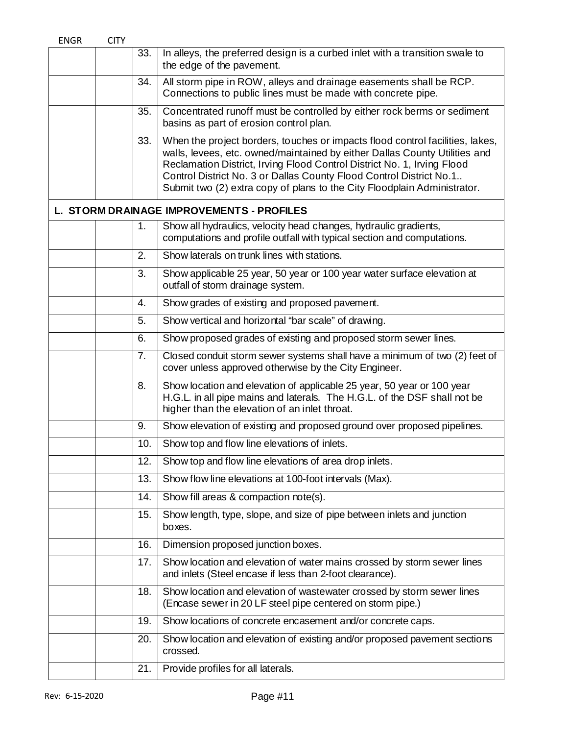| <b>ENGR</b> | <b>CITY</b> |     |                                                                                                                                                                                                                                                                                                                                                                                           |
|-------------|-------------|-----|-------------------------------------------------------------------------------------------------------------------------------------------------------------------------------------------------------------------------------------------------------------------------------------------------------------------------------------------------------------------------------------------|
|             |             | 33. | In alleys, the preferred design is a curbed inlet with a transition swale to<br>the edge of the pavement.                                                                                                                                                                                                                                                                                 |
|             |             | 34. | All storm pipe in ROW, alleys and drainage easements shall be RCP.<br>Connections to public lines must be made with concrete pipe.                                                                                                                                                                                                                                                        |
|             |             | 35. | Concentrated runoff must be controlled by either rock berms or sediment<br>basins as part of erosion control plan.                                                                                                                                                                                                                                                                        |
|             |             | 33. | When the project borders, touches or impacts flood control facilities, lakes,<br>walls, levees, etc. owned/maintained by either Dallas County Utilities and<br>Reclamation District, Irving Flood Control District No. 1, Irving Flood<br>Control District No. 3 or Dallas County Flood Control District No.1<br>Submit two (2) extra copy of plans to the City Floodplain Administrator. |
|             |             |     | L. STORM DRAINAGE IMPROVEMENTS - PROFILES                                                                                                                                                                                                                                                                                                                                                 |
|             |             | 1.  | Show all hydraulics, velocity head changes, hydraulic gradients,<br>computations and profile outfall with typical section and computations.                                                                                                                                                                                                                                               |
|             |             | 2.  | Show laterals on trunk lines with stations.                                                                                                                                                                                                                                                                                                                                               |
|             |             | 3.  | Show applicable 25 year, 50 year or 100 year water surface elevation at<br>outfall of storm drainage system.                                                                                                                                                                                                                                                                              |
|             |             | 4.  | Show grades of existing and proposed pavement.                                                                                                                                                                                                                                                                                                                                            |
|             |             | 5.  | Show vertical and horizontal "bar scale" of drawing.                                                                                                                                                                                                                                                                                                                                      |
|             |             | 6.  | Show proposed grades of existing and proposed storm sewer lines.                                                                                                                                                                                                                                                                                                                          |
|             |             | 7.  | Closed conduit storm sewer systems shall have a minimum of two (2) feet of<br>cover unless approved otherwise by the City Engineer.                                                                                                                                                                                                                                                       |
|             |             | 8.  | Show location and elevation of applicable 25 year, 50 year or 100 year<br>H.G.L. in all pipe mains and laterals. The H.G.L. of the DSF shall not be<br>higher than the elevation of an inlet throat.                                                                                                                                                                                      |
|             |             | 9.  | Show elevation of existing and proposed ground over proposed pipelines.                                                                                                                                                                                                                                                                                                                   |
|             |             | 10. | Show top and flow line elevations of inlets.                                                                                                                                                                                                                                                                                                                                              |
|             |             | 12. | Show top and flow line elevations of area drop inlets.                                                                                                                                                                                                                                                                                                                                    |
|             |             | 13. | Show flow line elevations at 100-foot intervals (Max).                                                                                                                                                                                                                                                                                                                                    |
|             |             | 14. | Show fill areas & compaction note(s).                                                                                                                                                                                                                                                                                                                                                     |
|             |             | 15. | Show length, type, slope, and size of pipe between inlets and junction<br>boxes.                                                                                                                                                                                                                                                                                                          |
|             |             | 16. | Dimension proposed junction boxes.                                                                                                                                                                                                                                                                                                                                                        |
|             |             | 17. | Show location and elevation of water mains crossed by storm sewer lines<br>and inlets (Steel encase if less than 2-foot clearance).                                                                                                                                                                                                                                                       |
|             |             | 18. | Show location and elevation of wastewater crossed by storm sewer lines<br>(Encase sewer in 20 LF steel pipe centered on storm pipe.)                                                                                                                                                                                                                                                      |
|             |             | 19. | Show locations of concrete encasement and/or concrete caps.                                                                                                                                                                                                                                                                                                                               |
|             |             | 20. | Show location and elevation of existing and/or proposed pavement sections<br>crossed.                                                                                                                                                                                                                                                                                                     |
|             |             | 21. | Provide profiles for all laterals.                                                                                                                                                                                                                                                                                                                                                        |
|             |             |     |                                                                                                                                                                                                                                                                                                                                                                                           |
|             |             |     |                                                                                                                                                                                                                                                                                                                                                                                           |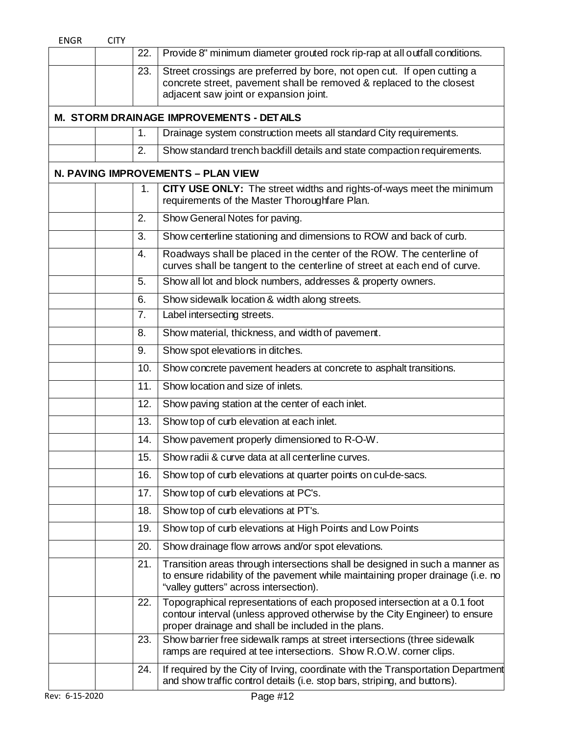| <b>ENGR</b> | <b>CITY</b> |                  |                                                                                                                                                                                                                 |
|-------------|-------------|------------------|-----------------------------------------------------------------------------------------------------------------------------------------------------------------------------------------------------------------|
|             |             | 22.              | Provide 8" minimum diameter grouted rock rip-rap at all outfall conditions.                                                                                                                                     |
|             |             | 23.              | Street crossings are preferred by bore, not open cut. If open cutting a<br>concrete street, pavement shall be removed & replaced to the closest<br>adjacent saw joint or expansion joint.                       |
|             |             |                  | M. STORM DRAINAGE IMPROVEMENTS - DETAILS                                                                                                                                                                        |
|             |             | 1.               | Drainage system construction meets all standard City requirements.                                                                                                                                              |
|             |             | 2.               | Show standard trench backfill details and state compaction requirements.                                                                                                                                        |
|             |             |                  | N. PAVING IMPROVEMENTS - PLAN VIEW                                                                                                                                                                              |
|             |             | 1.               | CITY USE ONLY: The street widths and rights-of-ways meet the minimum<br>requirements of the Master Thoroughfare Plan.                                                                                           |
|             |             | 2.               | Show General Notes for paving.                                                                                                                                                                                  |
|             |             | 3.               | Show centerline stationing and dimensions to ROW and back of curb.                                                                                                                                              |
|             |             | $\overline{4}$ . | Roadways shall be placed in the center of the ROW. The centerline of<br>curves shall be tangent to the centerline of street at each end of curve.                                                               |
|             |             | 5.               | Show all lot and block numbers, addresses & property owners.                                                                                                                                                    |
|             |             | 6.               | Show sidewalk location & width along streets.                                                                                                                                                                   |
|             |             | 7.               | Label intersecting streets.                                                                                                                                                                                     |
|             |             | 8.               | Show material, thickness, and width of pavement.                                                                                                                                                                |
|             |             | 9.               | Show spot elevations in ditches.                                                                                                                                                                                |
|             |             | 10.              | Show concrete pavement headers at concrete to asphalt transitions.                                                                                                                                              |
|             |             | 11.              | Show location and size of inlets.                                                                                                                                                                               |
|             |             | 12.              | Show paving station at the center of each inlet.                                                                                                                                                                |
|             |             | 13.              | Show top of curb elevation at each inlet.                                                                                                                                                                       |
|             |             | 14.              | Show pavement properly dimensioned to R-O-W.                                                                                                                                                                    |
|             |             | 15.              | Show radii & curve data at all centerline curves.                                                                                                                                                               |
|             |             | 16.              | Show top of curb elevations at quarter points on cul-de-sacs.                                                                                                                                                   |
|             |             | 17.              | Show top of curb elevations at PC's.                                                                                                                                                                            |
|             |             | 18.              | Show top of curb elevations at PT's.                                                                                                                                                                            |
|             |             | 19.              | Show top of curb elevations at High Points and Low Points                                                                                                                                                       |
|             |             | 20.              | Show drainage flow arrows and/or spot elevations.                                                                                                                                                               |
|             |             | 21.              | Transition areas through intersections shall be designed in such a manner as<br>to ensure ridability of the pavement while maintaining proper drainage (i.e. no<br>"valley gutters" across intersection).       |
|             |             | 22.              | Topographical representations of each proposed intersection at a 0.1 foot<br>contour interval (unless approved otherwise by the City Engineer) to ensure<br>proper drainage and shall be included in the plans. |
|             |             | 23.              | Show barrier free sidewalk ramps at street intersections (three sidewalk<br>ramps are required at tee intersections. Show R.O.W. corner clips.                                                                  |
|             |             | 24.              | If required by the City of Irving, coordinate with the Transportation Department<br>and show traffic control details (i.e. stop bars, striping, and buttons).                                                   |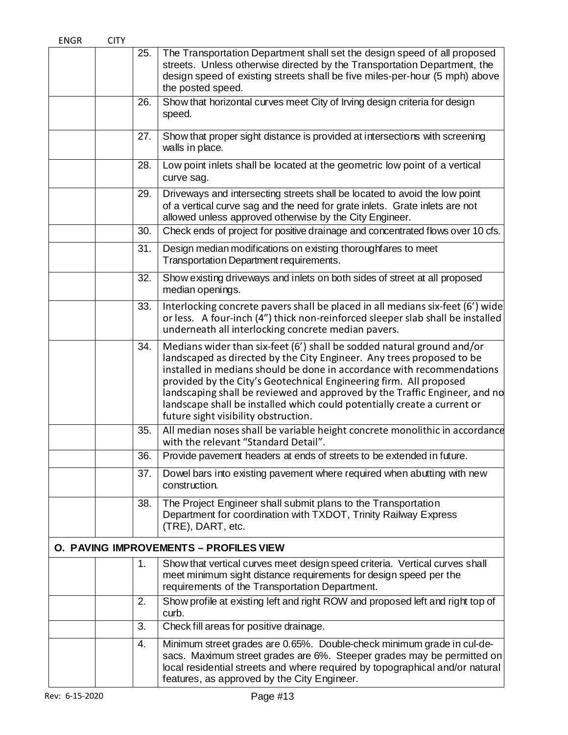| <b>ENGR</b> | <b>CITY</b> |                |                                                                                                                                                                                                                                                                                                                                                                                                                                                                                                   |
|-------------|-------------|----------------|---------------------------------------------------------------------------------------------------------------------------------------------------------------------------------------------------------------------------------------------------------------------------------------------------------------------------------------------------------------------------------------------------------------------------------------------------------------------------------------------------|
|             |             | 25.            | The Transportation Department shall set the design speed of all proposed<br>streets. Unless otherwise directed by the Transportation Department, the<br>design speed of existing streets shall be five miles-per-hour (5 mph) above<br>the posted speed.                                                                                                                                                                                                                                          |
|             |             | 26.            | Show that horizontal curves meet City of Irving design criteria for design<br>speed.                                                                                                                                                                                                                                                                                                                                                                                                              |
|             |             | 27.            | Show that proper sight distance is provided at intersections with screening<br>walls in place.                                                                                                                                                                                                                                                                                                                                                                                                    |
|             |             | 28.            | Low point inlets shall be located at the geometric low point of a vertical<br>curve sag.                                                                                                                                                                                                                                                                                                                                                                                                          |
|             |             | 29.            | Driveways and intersecting streets shall be located to avoid the low point<br>of a vertical curve sag and the need for grate inlets. Grate inlets are not<br>allowed unless approved otherwise by the City Engineer.                                                                                                                                                                                                                                                                              |
|             |             | 30.            | Check ends of project for positive drainage and concentrated flows over 10 cfs.                                                                                                                                                                                                                                                                                                                                                                                                                   |
|             |             | 31.            | Design median modifications on existing thoroughfares to meet<br>Transportation Department requirements.                                                                                                                                                                                                                                                                                                                                                                                          |
|             |             | 32.            | Show existing driveways and inlets on both sides of street at all proposed<br>median openings.                                                                                                                                                                                                                                                                                                                                                                                                    |
|             |             | 33.            | Interlocking concrete pavers shall be placed in all medians six-feet (6') wide<br>or less. A four-inch (4") thick non-reinforced sleeper slab shall be installed<br>underneath all interlocking concrete median pavers.                                                                                                                                                                                                                                                                           |
|             |             | 34.            | Medians wider than six-feet (6') shall be sodded natural ground and/or<br>landscaped as directed by the City Engineer. Any trees proposed to be<br>installed in medians should be done in accordance with recommendations<br>provided by the City's Geotechnical Engineering firm. All proposed<br>landscaping shall be reviewed and approved by the Traffic Engineer, and no<br>landscape shall be installed which could potentially create a current or<br>future sight visibility obstruction. |
|             |             | 35.            | All median noses shall be variable height concrete monolithic in accordance<br>with the relevant "Standard Detail".                                                                                                                                                                                                                                                                                                                                                                               |
|             |             | 36.            | Provide pavement headers at ends of streets to be extended in future.                                                                                                                                                                                                                                                                                                                                                                                                                             |
|             |             | 37.            | Dowel bars into existing pavement where required when abutting with new<br>construction.                                                                                                                                                                                                                                                                                                                                                                                                          |
|             |             | 38.            | The Project Engineer shall submit plans to the Transportation<br>Department for coordination with TXDOT, Trinity Railway Express<br>(TRE), DART, etc.                                                                                                                                                                                                                                                                                                                                             |
|             |             |                | O. PAVING IMPROVEMENTS - PROFILES VIEW                                                                                                                                                                                                                                                                                                                                                                                                                                                            |
|             |             | $\mathbf{1}$ . | Show that vertical curves meet design speed criteria. Vertical curves shall<br>meet minimum sight distance requirements for design speed per the<br>requirements of the Transportation Department.                                                                                                                                                                                                                                                                                                |
|             |             | 2.             | Show profile at existing left and right ROW and proposed left and right top of<br>curb.                                                                                                                                                                                                                                                                                                                                                                                                           |
|             |             | 3.             | Check fill areas for positive drainage.                                                                                                                                                                                                                                                                                                                                                                                                                                                           |
|             |             | 4.             | Minimum street grades are 0.65%. Double-check minimum grade in cul-de-<br>sacs. Maximum street grades are 6%. Steeper grades may be permitted on<br>local residential streets and where required by topographical and/or natural<br>features, as approved by the City Engineer.                                                                                                                                                                                                                   |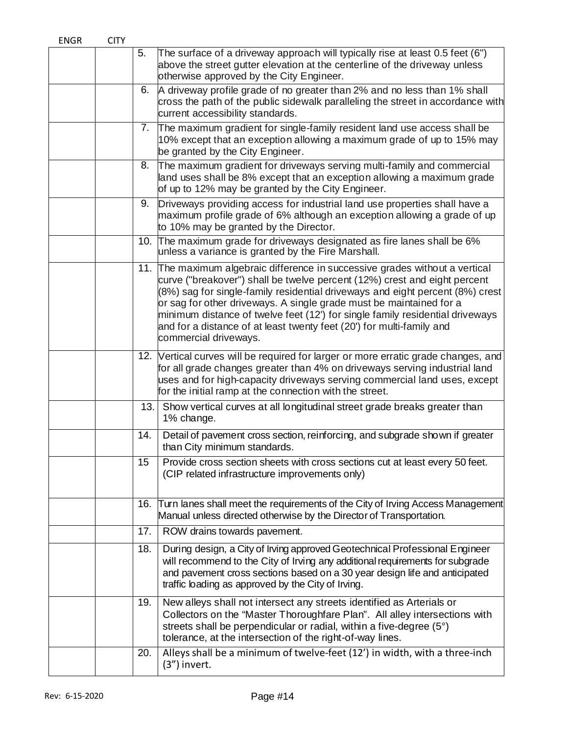| <b>ENGR</b> | <b>CITY</b> |     |                                                                                                                                                                                                                                                                                                                                                                                                                                                                                                      |
|-------------|-------------|-----|------------------------------------------------------------------------------------------------------------------------------------------------------------------------------------------------------------------------------------------------------------------------------------------------------------------------------------------------------------------------------------------------------------------------------------------------------------------------------------------------------|
|             |             | 5.  | The surface of a driveway approach will typically rise at least 0.5 feet (6")<br>above the street gutter elevation at the centerline of the driveway unless<br>otherwise approved by the City Engineer.                                                                                                                                                                                                                                                                                              |
|             |             | 6.  | A driveway profile grade of no greater than 2% and no less than 1% shall<br>cross the path of the public sidewalk paralleling the street in accordance with<br>current accessibility standards.                                                                                                                                                                                                                                                                                                      |
|             |             |     | 7. The maximum gradient for single-family resident land use access shall be<br>10% except that an exception allowing a maximum grade of up to 15% may<br>be granted by the City Engineer.                                                                                                                                                                                                                                                                                                            |
|             |             | 8.  | The maximum gradient for driveways serving multi-family and commercial<br>land uses shall be 8% except that an exception allowing a maximum grade<br>of up to 12% may be granted by the City Engineer.                                                                                                                                                                                                                                                                                               |
|             |             | 9.  | Driveways providing access for industrial land use properties shall have a<br>maximum profile grade of 6% although an exception allowing a grade of up<br>to 10% may be granted by the Director.                                                                                                                                                                                                                                                                                                     |
|             |             | 10. | The maximum grade for driveways designated as fire lanes shall be 6%<br>unless a variance is granted by the Fire Marshall.                                                                                                                                                                                                                                                                                                                                                                           |
|             |             |     | 11. The maximum algebraic difference in successive grades without a vertical<br>curve ("breakover") shall be twelve percent (12%) crest and eight percent<br>(8%) sag for single-family residential driveways and eight percent (8%) crest<br>or sag for other driveways. A single grade must be maintained for a<br>minimum distance of twelve feet (12') for single family residential driveways<br>and for a distance of at least twenty feet (20') for multi-family and<br>commercial driveways. |
|             |             |     | 12. Vertical curves will be required for larger or more erratic grade changes, and<br>for all grade changes greater than 4% on driveways serving industrial land<br>uses and for high-capacity driveways serving commercial land uses, except<br>for the initial ramp at the connection with the street.                                                                                                                                                                                             |
|             |             | 13. | Show vertical curves at all longitudinal street grade breaks greater than<br>1% change.                                                                                                                                                                                                                                                                                                                                                                                                              |
|             |             | 14. | Detail of pavement cross section, reinforcing, and subgrade shown if greater<br>than City minimum standards.                                                                                                                                                                                                                                                                                                                                                                                         |
|             |             | 15  | Provide cross section sheets with cross sections cut at least every 50 feet.<br>(CIP related infrastructure improvements only)                                                                                                                                                                                                                                                                                                                                                                       |
|             |             | 16. | Turn lanes shall meet the requirements of the City of Irving Access Management<br>Manual unless directed otherwise by the Director of Transportation.                                                                                                                                                                                                                                                                                                                                                |
|             |             | 17. | ROW drains towards pavement.                                                                                                                                                                                                                                                                                                                                                                                                                                                                         |
|             |             | 18. | During design, a City of Irving approved Geotechnical Professional Engineer<br>will recommend to the City of Irving any additional requirements for subgrade<br>and pavement cross sections based on a 30 year design life and anticipated<br>traffic loading as approved by the City of Irving.                                                                                                                                                                                                     |
|             |             | 19. | New alleys shall not intersect any streets identified as Arterials or<br>Collectors on the "Master Thoroughfare Plan". All alley intersections with<br>streets shall be perpendicular or radial, within a five-degree (5°)<br>tolerance, at the intersection of the right-of-way lines.                                                                                                                                                                                                              |
|             |             | 20. | Alleys shall be a minimum of twelve-feet (12') in width, with a three-inch<br>(3") invert.                                                                                                                                                                                                                                                                                                                                                                                                           |